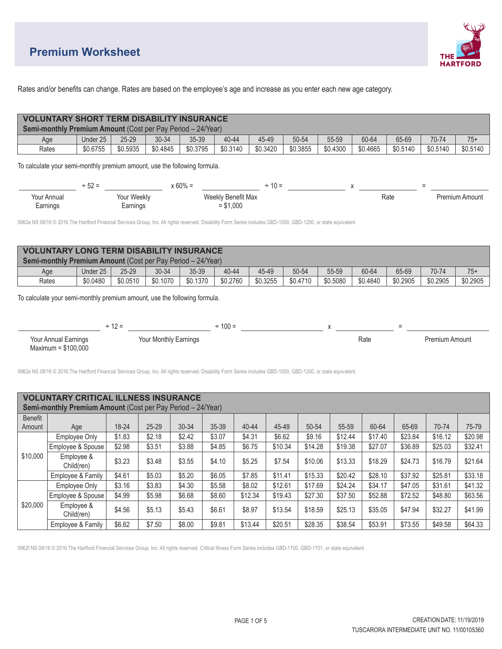## **Premium Worksheet**

\$20,000

Employee &<br>Child(ren)



Rates and/or benefits can change. Rates are based on the employee's age and increase as you enter each new age category.

|                | <b>VOLUNTARY SHORT TERM DISABILITY INSURANCE</b>                                                                                                                 |                                         |                       |                    |            |           |         |          |          |                        |          |          |                |  |
|----------------|------------------------------------------------------------------------------------------------------------------------------------------------------------------|-----------------------------------------|-----------------------|--------------------|------------|-----------|---------|----------|----------|------------------------|----------|----------|----------------|--|
|                | Semi-monthly Premium Amount (Cost per Pay Period - 24/Year)                                                                                                      |                                         |                       |                    |            |           |         |          |          |                        |          |          |                |  |
|                | Under 25<br>Age                                                                                                                                                  | $25 - 29$                               | 30-34                 | 35-39              | 40-44      | 45-49     |         | 50-54    | 55-59    | 60-64                  | 65-69    | 70-74    | $75+$          |  |
|                | Rates<br>\$0.6755                                                                                                                                                | \$0.5935                                | \$0.4845              | \$0.3795           | \$0.3140   | \$0.3420  |         | \$0.3855 | \$0.4300 | \$0.4665               | \$0.5140 | \$0.5140 | \$0.5140       |  |
|                | To calculate your semi-monthly premium amount, use the following formula.                                                                                        |                                         |                       |                    |            |           |         |          |          |                        |          |          |                |  |
|                |                                                                                                                                                                  |                                         |                       |                    |            |           |         |          |          |                        |          |          |                |  |
|                |                                                                                                                                                                  | $+52 =$ $\times 60\% =$ $\times 60\% =$ |                       |                    |            |           |         |          |          |                        |          |          |                |  |
|                | <b>Your Annual</b>                                                                                                                                               |                                         | Your Weekly           | Weekly Benefit Max |            |           |         |          |          |                        | Rate     |          | Premium Amount |  |
|                | Earnings                                                                                                                                                         | Earnings                                |                       |                    | $= $1,000$ |           |         |          |          |                        |          |          |                |  |
|                | 5962e NS 08/16 © 2016. The Hartford Financial Services Group, Inc. All rights reserved. Disability Form Series includes GBD-1000, GBD-1200, or state equivalent. |                                         |                       |                    |            |           |         |          |          |                        |          |          |                |  |
|                |                                                                                                                                                                  |                                         |                       |                    |            |           |         |          |          |                        |          |          |                |  |
|                |                                                                                                                                                                  |                                         |                       |                    |            |           |         |          |          |                        |          |          |                |  |
|                | <b>VOLUNTARY LONG TERM DISABILITY INSURANCE</b>                                                                                                                  |                                         |                       |                    |            |           |         |          |          |                        |          |          |                |  |
|                | Semi-monthly Premium Amount (Cost per Pay Period - 24/Year)                                                                                                      |                                         |                       |                    |            |           |         |          |          |                        |          |          |                |  |
|                | Under 25<br>Age                                                                                                                                                  | 25-29                                   | 30-34                 | 35-39              | 40-44      | 45-49     |         | 50-54    | 55-59    | 60-64                  | 65-69    | 70-74    | $75+$          |  |
|                | \$0.0480<br>Rates                                                                                                                                                | \$0.0510                                | \$0.1070              | \$0.1370           | \$0.2760   | \$0.3255  |         | \$0.4710 | \$0.5080 | \$0.4840               | \$0.2905 | \$0.2905 | \$0.2905       |  |
|                |                                                                                                                                                                  |                                         |                       |                    |            |           |         |          |          |                        |          |          |                |  |
|                | Your Annual Earnings                                                                                                                                             |                                         | Your Monthly Earnings |                    |            |           |         |          |          | Rate<br>Premium Amount |          |          |                |  |
|                | Maximum = $$100,000$                                                                                                                                             |                                         |                       |                    |            |           |         |          |          |                        |          |          |                |  |
|                |                                                                                                                                                                  |                                         |                       |                    |            |           |         |          |          |                        |          |          |                |  |
|                | 5962e NS 08/16 © 2016. The Hartford Financial Services Group, Inc. All rights reserved. Disability Form Series includes GBD-1000, GBD-1200, or state equivalent. |                                         |                       |                    |            |           |         |          |          |                        |          |          |                |  |
|                |                                                                                                                                                                  |                                         |                       |                    |            |           |         |          |          |                        |          |          |                |  |
|                |                                                                                                                                                                  |                                         |                       |                    |            |           |         |          |          |                        |          |          |                |  |
|                | <b>VOLUNTARY CRITICAL ILLNESS INSURANCE</b>                                                                                                                      |                                         |                       |                    |            |           |         |          |          |                        |          |          |                |  |
|                | Semi-monthly Premium Amount (Cost per Pay Period - 24/Year)                                                                                                      |                                         |                       |                    |            |           |         |          |          |                        |          |          |                |  |
| <b>Benefit</b> |                                                                                                                                                                  |                                         |                       |                    |            |           |         |          |          |                        |          |          |                |  |
| Amount         | Age                                                                                                                                                              | 18-24                                   | $25 - 29$             | 30-34              | 35-39      | $40 - 44$ | 45-49   | 50-54    | 55-59    | 60-64                  | 65-69    | 70-74    | 75-79          |  |
|                | Employee Only                                                                                                                                                    | \$1.83                                  | \$2.18                | \$2.42             | \$3.07     | \$4.31    | \$6.62  | \$9.16   | \$12.44  | \$17.40                | \$23.84  | \$16.12  | \$20.98        |  |
|                | Employee & Spouse                                                                                                                                                | \$2.98                                  | \$3.51                | \$3.88             | \$4.85     | \$6.75    | \$10.34 | \$14.28  | \$19.38  | \$27.07                | \$36.89  | \$25.03  | \$32.41        |  |
| \$10,000       | Employee &<br>Child(ren)                                                                                                                                         | \$3.23                                  | \$3.48                | \$3.55             | \$4.10     | \$5.25    | \$7.54  | \$10.06  | \$13.33  | \$18.29                | \$24.73  | \$16.79  | \$21.64        |  |

5962f NS 08/16 © 2016.The Hartford Financial Services Group, Inc. All rights reserved. Critical Illness Form Series includes GBD-1700, GBD-1701, or state equivalent.

Employee & Family \$4.61 \$5.03 \$5.20 \$6.05 \$7.85 \$11.41 \$15.33 \$20.42 \$28.10 \$37.92 \$25.81 \$33.18

Employee Only | \$3.16 | \$3.83 | \$4.30 | \$5.58 | \$8.02 | \$12.61 | \$17.69 | \$24.24 | \$34.17 | \$47.05 | \$31.61 | \$41.32 Employee & Spouse | \$4.99 | \$5.98 | \$6.68 | \$8.60 | \$12.34 | \$19.43 | \$27.30 | \$37.50 | \$52.88 | \$72.52 | \$48.80 | \$63.56

...ployee a = \$4.56 | \$5.13 | \$5.43 | \$6.61 | \$8.97 | \$13.54 | \$18.59 | \$25.13 | \$35.05 | \$47.94 | \$32.27 | \$41.99<br>Child(ren) Employee & Family | \$6.62 | \$7.50 | \$8.00 | \$9.81 | \$13.44 | \$20.51 | \$28.35 | \$38.54 | \$53.91 | \$73.55 | \$49.58 | \$64.33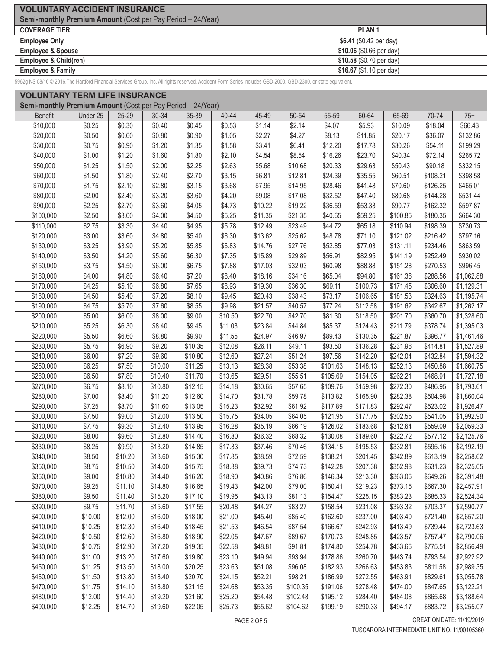| <b>VOLUNTARY ACCIDENT INSURANCE</b>                                |                           |  |  |  |  |  |  |
|--------------------------------------------------------------------|---------------------------|--|--|--|--|--|--|
| <b>Semi-monthly Premium Amount (Cost per Pay Period - 24/Year)</b> |                           |  |  |  |  |  |  |
| <b>COVERAGE TIER</b>                                               | <b>PLAN1</b>              |  |  |  |  |  |  |
| <b>Employee Only</b>                                               | \$6.41 $(\$0.42$ per day) |  |  |  |  |  |  |
| <b>Employee &amp; Spouse</b>                                       | \$10.06 (\$0.66 per day)  |  |  |  |  |  |  |
| Employee & Child(ren)                                              | \$10.58 (\$0.70 per day)  |  |  |  |  |  |  |
| <b>Employee &amp; Family</b>                                       | \$16.67 (\$1.10 per day)  |  |  |  |  |  |  |

5962g NS 08/16 © 2016.The Hartford Financial Services Group, Inc. All rights reserved. Accident Form Series includes GBD-2000, GBD-2300, or state equivalent.

|                | <b>VOLUNTARY TERM LIFE INSURANCE</b><br>Semi-monthly Premium Amount (Cost per Pay Period - 24/Year) |         |           |         |                 |                 |                 |                 |                 |                  |                      |                  |
|----------------|-----------------------------------------------------------------------------------------------------|---------|-----------|---------|-----------------|-----------------|-----------------|-----------------|-----------------|------------------|----------------------|------------------|
|                |                                                                                                     |         |           |         |                 |                 |                 |                 |                 |                  |                      |                  |
| <b>Benefit</b> | Under 25                                                                                            | 25-29   | $30 - 34$ | 35-39   | 40-44<br>\$0.53 | 45-49<br>\$1.14 | 50-54<br>\$2.14 | 55-59<br>\$4.07 | 60-64<br>\$5.93 | 65-69<br>\$10.09 | 70-74<br>\$18.04     | $75+$<br>\$66.43 |
| \$10,000       | \$0.25                                                                                              | \$0.30  | \$0.40    | \$0.45  |                 |                 |                 |                 |                 |                  |                      |                  |
| \$20,000       | \$0.50                                                                                              | \$0.60  | \$0.80    | \$0.90  | \$1.05          | \$2.27          | \$4.27          | \$8.13          | \$11.85         | \$20.17          | \$36.07              | \$132.86         |
| \$30,000       | \$0.75                                                                                              | \$0.90  | \$1.20    | \$1.35  | \$1.58          | \$3.41          | \$6.41          | \$12.20         | \$17.78         | \$30.26          | \$54.11              | \$199.29         |
| \$40,000       | \$1.00                                                                                              | \$1.20  | \$1.60    | \$1.80  | \$2.10          | \$4.54          | \$8.54          | \$16.26         | \$23.70         | \$40.34          | \$72.14              | \$265.72         |
| \$50,000       | \$1.25                                                                                              | \$1.50  | \$2.00    | \$2.25  | \$2.63          | \$5.68          | \$10.68         | \$20.33         | \$29.63         | \$50.43          | \$90.18              | \$332.15         |
| \$60,000       | \$1.50                                                                                              | \$1.80  | \$2.40    | \$2.70  | \$3.15          | \$6.81          | \$12.81         | \$24.39         | \$35.55         | \$60.51          | \$108.21             | \$398.58         |
| \$70,000       | \$1.75                                                                                              | \$2.10  | \$2.80    | \$3.15  | \$3.68          | \$7.95          | \$14.95         | \$28.46         | \$41.48         | \$70.60          | \$126.25             | \$465.01         |
| \$80,000       | \$2.00                                                                                              | \$2.40  | \$3.20    | \$3.60  | \$4.20          | \$9.08          | \$17.08         | \$32.52         | \$47.40         | \$80.68          | \$144.28             | \$531.44         |
| \$90,000       | \$2.25                                                                                              | \$2.70  | \$3.60    | \$4.05  | \$4.73          | \$10.22         | \$19.22         | \$36.59         | \$53.33         | \$90.77          | \$162.32             | \$597.87         |
| \$100,000      | \$2.50                                                                                              | \$3.00  | \$4.00    | \$4.50  | \$5.25          | \$11.35         | \$21.35         | \$40.65         | \$59.25         | \$100.85         | \$180.35             | \$664.30         |
| \$110,000      | \$2.75                                                                                              | \$3.30  | \$4.40    | \$4.95  | \$5.78          | \$12.49         | \$23.49         | \$44.72         | \$65.18         | \$110.94         | \$198.39             | \$730.73         |
| \$120,000      | \$3.00                                                                                              | \$3.60  | \$4.80    | \$5.40  | \$6.30          | \$13.62         | \$25.62         | \$48.78         | \$71.10         | \$121.02         | \$216.42             | \$797.16         |
| \$130,000      | \$3.25                                                                                              | \$3.90  | \$5.20    | \$5.85  | \$6.83          | \$14.76         | \$27.76         | \$52.85         | \$77.03         | \$131.11         | \$234.46             | \$863.59         |
| \$140,000      | \$3.50                                                                                              | \$4.20  | \$5.60    | \$6.30  | \$7.35          | \$15.89         | \$29.89         | \$56.91         | \$82.95         | \$141.19         | \$252.49             | \$930.02         |
| \$150,000      | \$3.75                                                                                              | \$4.50  | \$6.00    | \$6.75  | \$7.88          | \$17.03         | \$32.03         | \$60.98         | \$88.88         | \$151.28         | \$270.53             | \$996.45         |
| \$160,000      | \$4.00                                                                                              | \$4.80  | \$6.40    | \$7.20  | \$8.40          | \$18.16         | \$34.16         | \$65.04         | \$94.80         | \$161.36         | \$288.56             | \$1,062.88       |
| \$170,000      | \$4.25                                                                                              | \$5.10  | \$6.80    | \$7.65  | \$8.93          | \$19.30         | \$36.30         | \$69.11         | \$100.73        | \$171.45         | \$306.60             | \$1,129.31       |
| \$180,000      | \$4.50                                                                                              | \$5.40  | \$7.20    | \$8.10  | \$9.45          | \$20.43         | \$38.43         | \$73.17         | \$106.65        | \$181.53         | \$324.63             | \$1,195.74       |
| \$190,000      | \$4.75                                                                                              | \$5.70  | \$7.60    | \$8.55  | \$9.98          | \$21.57         | \$40.57         | \$77.24         | \$112.58        | \$191.62         | \$342.67             | \$1,262.17       |
| \$200,000      | \$5.00                                                                                              | \$6.00  | \$8.00    | \$9.00  | \$10.50         | \$22.70         | \$42.70         | \$81.30         | \$118.50        | \$201.70         | \$360.70             | \$1,328.60       |
| \$210,000      | \$5.25                                                                                              | \$6.30  | \$8.40    | \$9.45  | \$11.03         | \$23.84         | \$44.84         | \$85.37         | \$124.43        | \$211.79         | \$378.74             | \$1,395.03       |
| \$220,000      | \$5.50                                                                                              | \$6.60  | \$8.80    | \$9.90  | \$11.55         | \$24.97         | \$46.97         | \$89.43         | \$130.35        | \$221.87         | \$396.77             | \$1,461.46       |
| \$230,000      | \$5.75                                                                                              | \$6.90  | \$9.20    | \$10.35 | \$12.08         | \$26.11         | \$49.11         | \$93.50         | \$136.28        | \$231.96         | \$414.81             | \$1,527.89       |
| \$240,000      | \$6.00                                                                                              | \$7.20  | \$9.60    | \$10.80 | \$12.60         | \$27.24         | \$51.24         | \$97.56         | \$142.20        | \$242.04         | \$432.84             | \$1,594.32       |
| \$250,000      | \$6.25                                                                                              | \$7.50  | \$10.00   | \$11.25 | \$13.13         | \$28.38         | \$53.38         | \$101.63        | \$148.13        | \$252.13         | \$450.88             | \$1,660.75       |
| \$260,000      | \$6.50                                                                                              | \$7.80  | \$10.40   | \$11.70 | \$13.65         | \$29.51         | \$55.51         | \$105.69        | \$154.05        | \$262.21         | \$468.91             | \$1,727.18       |
| \$270,000      | \$6.75                                                                                              | \$8.10  | \$10.80   | \$12.15 | \$14.18         | \$30.65         | \$57.65         | \$109.76        | \$159.98        | \$272.30         | \$486.95             | \$1,793.61       |
| \$280,000      | \$7.00                                                                                              | \$8.40  | \$11.20   | \$12.60 | \$14.70         | \$31.78         | \$59.78         | \$113.82        | \$165.90        | \$282.38         | \$504.98             | \$1,860.04       |
| \$290,000      | \$7.25                                                                                              | \$8.70  | \$11.60   | \$13.05 | \$15.23         | \$32.92         | \$61.92         | \$117.89        | \$171.83        | \$292.47         | \$523.02             | \$1,926.47       |
| \$300,000      | \$7.50                                                                                              | \$9.00  | \$12.00   | \$13.50 | \$15.75         | \$34.05         | \$64.05         | \$121.95        | \$177.75        | \$302.55         | \$541.05             | \$1,992.90       |
| \$310,000      | \$7.75                                                                                              | \$9.30  | \$12.40   | \$13.95 | \$16.28         | \$35.19         | \$66.19         | \$126.02        | \$183.68        | \$312.64         | \$559.09             | \$2,059.33       |
| \$320,000      | \$8.00                                                                                              | \$9.60  | \$12.80   | \$14.40 | \$16.80         | \$36.32         | \$68.32         | \$130.08        | \$189.60        | \$322.72         | \$577.12             | \$2,125.76       |
| \$330,000      | \$8.25                                                                                              | \$9.90  | \$13.20   | \$14.85 | \$17.33         | \$37.46         | \$70.46         | \$134.15        | \$195.53        | \$332.81         | \$595.16             | \$2,192.19       |
| \$340,000      | \$8.50                                                                                              | \$10.20 | \$13.60   | \$15.30 | \$17.85         | \$38.59         | \$72.59         | \$138.21        | \$201.45        | \$342.89         | \$613.19             | \$2,258.62       |
| \$350,000      | \$8.75                                                                                              | \$10.50 | \$14.00   | \$15.75 | \$18.38         | \$39.73         | \$74.73         | \$142.28        | \$207.38        | \$352.98         | \$631.23             | \$2,325.05       |
| \$360,000      | \$9.00                                                                                              | \$10.80 | \$14.40   | \$16.20 | \$18.90         | \$40.86         | \$76.86         | \$146.34        | \$213.30        | \$363.06         | \$649.26             | \$2,391.48       |
| \$370,000      | \$9.25                                                                                              | \$11.10 | \$14.80   | \$16.65 | \$19.43         | \$42.00         | \$79.00         | \$150.41        | \$219.23        | \$373.15         | \$667.30             | \$2,457.91       |
| \$380,000      | \$9.50                                                                                              | \$11.40 | \$15.20   | \$17.10 | \$19.95         | \$43.13         | \$81.13         | \$154.47        | \$225.15        | \$383.23         | \$685.33<br>\$703.37 | \$2,524.34       |
| \$390,000      | \$9.75                                                                                              | \$11.70 | \$15.60   | \$17.55 | \$20.48         | \$44.27         | \$83.27         | \$158.54        | \$231.08        | \$393.32         |                      | \$2,590.77       |
| \$400,000      | \$10.00                                                                                             | \$12.00 | \$16.00   | \$18.00 | \$21.00         | \$45.40         | \$85.40         | \$162.60        | \$237.00        | \$403.40         | \$721.40             | \$2,657.20       |
| \$410,000      | \$10.25                                                                                             | \$12.30 | \$16.40   | \$18.45 | \$21.53         | \$46.54         | \$87.54         | \$166.67        | \$242.93        | \$413.49         | \$739.44             | \$2,723.63       |
| \$420,000      | \$10.50                                                                                             | \$12.60 | \$16.80   | \$18.90 | \$22.05         | \$47.67         | \$89.67         | \$170.73        | \$248.85        | \$423.57         | \$757.47             | \$2,790.06       |
| \$430,000      | \$10.75                                                                                             | \$12.90 | \$17.20   | \$19.35 | \$22.58         | \$48.81         | \$91.81         | \$174.80        | \$254.78        | \$433.66         | \$775.51             | \$2,856.49       |
| \$440,000      | \$11.00                                                                                             | \$13.20 | \$17.60   | \$19.80 | \$23.10         | \$49.94         | \$93.94         | \$178.86        | \$260.70        | \$443.74         | \$793.54             | \$2,922.92       |
| \$450,000      | \$11.25                                                                                             | \$13.50 | \$18.00   | \$20.25 | \$23.63         | \$51.08         | \$96.08         | \$182.93        | \$266.63        | \$453.83         | \$811.58             | \$2,989.35       |
| \$460,000      | \$11.50                                                                                             | \$13.80 | \$18.40   | \$20.70 | \$24.15         | \$52.21         | \$98.21         | \$186.99        | \$272.55        | \$463.91         | \$829.61             | \$3,055.78       |
| \$470,000      | \$11.75                                                                                             | \$14.10 | \$18.80   | \$21.15 | \$24.68         | \$53.35         | \$100.35        | \$191.06        | \$278.48        | \$474.00         | \$847.65             | \$3,122.21       |
| \$480,000      | \$12.00                                                                                             | \$14.40 | \$19.20   | \$21.60 | \$25.20         | \$54.48         | \$102.48        | \$195.12        | \$284.40        | \$484.08         | \$865.68             | \$3,188.64       |
| \$490,000      | \$12.25                                                                                             | \$14.70 | \$19.60   | \$22.05 | \$25.73         | \$55.62         | \$104.62        | \$199.19        | \$290.33        | \$494.17         | \$883.72             | \$3,255.07       |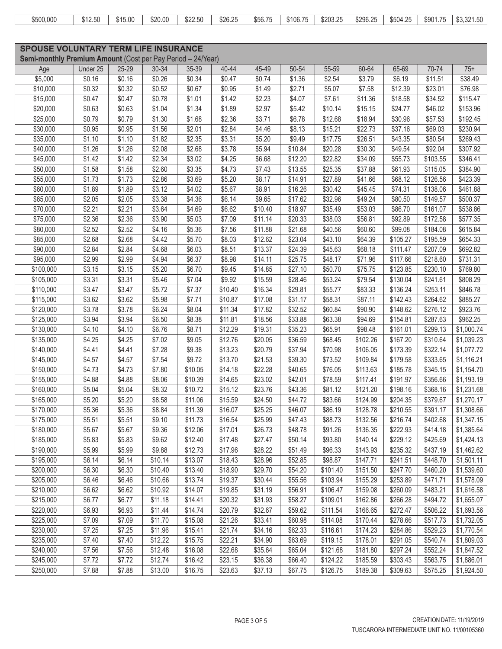| \$500,000 | \$12.50 | \$15.00 | \$20.00 | \$22.50 | \$26.25 | \$56.75 | \$106.75 | \$203.25 | \$296.25 | \$504.25 | \$901.75 | \$3.321.50 |
|-----------|---------|---------|---------|---------|---------|---------|----------|----------|----------|----------|----------|------------|

|                                                             | <b>SPOUSE VOLUNTARY TERM LIFE INSURANCE</b> |        |         |         |         |         |         |          |          |          |          |            |
|-------------------------------------------------------------|---------------------------------------------|--------|---------|---------|---------|---------|---------|----------|----------|----------|----------|------------|
| Semi-monthly Premium Amount (Cost per Pay Period - 24/Year) |                                             |        |         |         |         |         |         |          |          |          |          |            |
| Age                                                         | Under 25                                    | 25-29  | 30-34   | 35-39   | 40-44   | 45-49   | 50-54   | 55-59    | 60-64    | 65-69    | 70-74    | $75+$      |
| \$5,000                                                     | \$0.16                                      | \$0.16 | \$0.26  | \$0.34  | \$0.47  | \$0.74  | \$1.36  | \$2.54   | \$3.79   | \$6.19   | \$11.51  | \$38.49    |
| \$10,000                                                    | \$0.32                                      | \$0.32 | \$0.52  | \$0.67  | \$0.95  | \$1.49  | \$2.71  | \$5.07   | \$7.58   | \$12.39  | \$23.01  | \$76.98    |
| \$15,000                                                    | \$0.47                                      | \$0.47 | \$0.78  | \$1.01  | \$1.42  | \$2.23  | \$4.07  | \$7.61   | \$11.36  | \$18.58  | \$34.52  | \$115.47   |
| \$20,000                                                    | \$0.63                                      | \$0.63 | \$1.04  | \$1.34  | \$1.89  | \$2.97  | \$5.42  | \$10.14  | \$15.15  | \$24.77  | \$46.02  | \$153.96   |
| \$25,000                                                    | \$0.79                                      | \$0.79 | \$1.30  | \$1.68  | \$2.36  | \$3.71  | \$6.78  | \$12.68  | \$18.94  | \$30.96  | \$57.53  | \$192.45   |
| \$30,000                                                    | \$0.95                                      | \$0.95 | \$1.56  | \$2.01  | \$2.84  | \$4.46  | \$8.13  | \$15.21  | \$22.73  | \$37.16  | \$69.03  | \$230.94   |
| \$35,000                                                    | \$1.10                                      | \$1.10 | \$1.82  | \$2.35  | \$3.31  | \$5.20  | \$9.49  | \$17.75  | \$26.51  | \$43.35  | \$80.54  | \$269.43   |
| \$40,000                                                    | \$1.26                                      | \$1.26 | \$2.08  | \$2.68  | \$3.78  | \$5.94  | \$10.84 | \$20.28  | \$30.30  | \$49.54  | \$92.04  | \$307.92   |
| \$45,000                                                    | \$1.42                                      | \$1.42 | \$2.34  | \$3.02  | \$4.25  | \$6.68  | \$12.20 | \$22.82  | \$34.09  | \$55.73  | \$103.55 | \$346.41   |
| \$50,000                                                    | \$1.58                                      | \$1.58 | \$2.60  | \$3.35  | \$4.73  | \$7.43  | \$13.55 | \$25.35  | \$37.88  | \$61.93  | \$115.05 | \$384.90   |
| \$55,000                                                    | \$1.73                                      | \$1.73 | \$2.86  | \$3.69  | \$5.20  | \$8.17  | \$14.91 | \$27.89  | \$41.66  | \$68.12  | \$126.56 | \$423.39   |
| \$60,000                                                    | \$1.89                                      | \$1.89 | \$3.12  | \$4.02  | \$5.67  | \$8.91  | \$16.26 | \$30.42  | \$45.45  | \$74.31  | \$138.06 | \$461.88   |
| \$65,000                                                    | \$2.05                                      | \$2.05 | \$3.38  | \$4.36  | \$6.14  | \$9.65  | \$17.62 | \$32.96  | \$49.24  | \$80.50  | \$149.57 | \$500.37   |
| \$70,000                                                    | \$2.21                                      | \$2.21 | \$3.64  | \$4.69  | \$6.62  | \$10.40 | \$18.97 | \$35.49  | \$53.03  | \$86.70  | \$161.07 | \$538.86   |
| \$75,000                                                    | \$2.36                                      | \$2.36 | \$3.90  | \$5.03  | \$7.09  | \$11.14 | \$20.33 | \$38.03  | \$56.81  | \$92.89  | \$172.58 | \$577.35   |
| \$80,000                                                    | \$2.52                                      | \$2.52 | \$4.16  | \$5.36  | \$7.56  | \$11.88 | \$21.68 | \$40.56  | \$60.60  | \$99.08  | \$184.08 | \$615.84   |
| \$85,000                                                    | \$2.68                                      | \$2.68 | \$4.42  | \$5.70  | \$8.03  | \$12.62 | \$23.04 | \$43.10  | \$64.39  | \$105.27 | \$195.59 | \$654.33   |
| \$90,000                                                    | \$2.84                                      | \$2.84 | \$4.68  | \$6.03  | \$8.51  | \$13.37 | \$24.39 | \$45.63  | \$68.18  | \$111.47 | \$207.09 | \$692.82   |
| \$95,000                                                    | \$2.99                                      | \$2.99 | \$4.94  | \$6.37  | \$8.98  | \$14.11 | \$25.75 | \$48.17  | \$71.96  | \$117.66 | \$218.60 | \$731.31   |
| \$100,000                                                   | \$3.15                                      | \$3.15 | \$5.20  | \$6.70  | \$9.45  | \$14.85 | \$27.10 | \$50.70  | \$75.75  | \$123.85 | \$230.10 | \$769.80   |
| \$105,000                                                   | \$3.31                                      | \$3.31 | \$5.46  | \$7.04  | \$9.92  | \$15.59 | \$28.46 | \$53.24  | \$79.54  | \$130.04 | \$241.61 | \$808.29   |
| \$110,000                                                   | \$3.47                                      | \$3.47 | \$5.72  | \$7.37  | \$10.40 | \$16.34 | \$29.81 | \$55.77  | \$83.33  | \$136.24 | \$253.11 | \$846.78   |
| \$115,000                                                   | \$3.62                                      | \$3.62 | \$5.98  | \$7.71  | \$10.87 | \$17.08 | \$31.17 | \$58.31  | \$87.11  | \$142.43 | \$264.62 | \$885.27   |
| \$120,000                                                   | \$3.78                                      | \$3.78 | \$6.24  | \$8.04  | \$11.34 | \$17.82 | \$32.52 | \$60.84  | \$90.90  | \$148.62 | \$276.12 | \$923.76   |
| \$125,000                                                   | \$3.94                                      | \$3.94 | \$6.50  | \$8.38  | \$11.81 | \$18.56 | \$33.88 | \$63.38  | \$94.69  | \$154.81 | \$287.63 | \$962.25   |
| \$130,000                                                   | \$4.10                                      | \$4.10 | \$6.76  | \$8.71  | \$12.29 | \$19.31 | \$35.23 | \$65.91  | \$98.48  | \$161.01 | \$299.13 | \$1,000.74 |
| \$135,000                                                   | \$4.25                                      | \$4.25 | \$7.02  | \$9.05  | \$12.76 | \$20.05 | \$36.59 | \$68.45  | \$102.26 | \$167.20 | \$310.64 | \$1,039.23 |
| \$140,000                                                   | \$4.41                                      | \$4.41 | \$7.28  | \$9.38  | \$13.23 | \$20.79 | \$37.94 | \$70.98  | \$106.05 | \$173.39 | \$322.14 | \$1,077.72 |
| \$145,000                                                   | \$4.57                                      | \$4.57 | \$7.54  | \$9.72  | \$13.70 | \$21.53 | \$39.30 | \$73.52  | \$109.84 | \$179.58 | \$333.65 | \$1,116.21 |
| \$150,000                                                   | \$4.73                                      | \$4.73 | \$7.80  | \$10.05 | \$14.18 | \$22.28 | \$40.65 | \$76.05  | \$113.63 | \$185.78 | \$345.15 | \$1,154.70 |
| \$155,000                                                   | \$4.88                                      | \$4.88 | \$8.06  | \$10.39 | \$14.65 | \$23.02 | \$42.01 | \$78.59  | \$117.41 | \$191.97 | \$356.66 | \$1,193.19 |
| \$160,000                                                   | \$5.04                                      | \$5.04 | \$8.32  | \$10.72 | \$15.12 | \$23.76 | \$43.36 | \$81.12  | \$121.20 | \$198.16 | \$368.16 | \$1,231.68 |
| \$165,000                                                   | \$5.20                                      | \$5.20 | \$8.58  | \$11.06 | \$15.59 | \$24.50 | \$44.72 | \$83.66  | \$124.99 | \$204.35 | \$379.67 | \$1,270.17 |
| \$170,000                                                   | \$5.36                                      | \$5.36 | \$8.84  | \$11.39 | \$16.07 | \$25.25 | \$46.07 | \$86.19  | \$128.78 | \$210.55 | \$391.17 | \$1,308.66 |
| \$175,000                                                   | \$5.51                                      | \$5.51 | \$9.10  | \$11.73 | \$16.54 | \$25.99 | \$47.43 | \$88.73  | \$132.56 | \$216.74 | \$402.68 | \$1,347.15 |
| \$180,000                                                   | \$5.67                                      | \$5.67 | \$9.36  | \$12.06 | \$17.01 | \$26.73 | \$48.78 | \$91.26  | \$136.35 | \$222.93 | \$414.18 | \$1,385.64 |
| \$185,000                                                   | \$5.83                                      | \$5.83 | \$9.62  | \$12.40 | \$17.48 | \$27.47 | \$50.14 | \$93.80  | \$140.14 | \$229.12 | \$425.69 | \$1,424.13 |
| \$190,000                                                   | \$5.99                                      | \$5.99 | \$9.88  | \$12.73 | \$17.96 | \$28.22 | \$51.49 | \$96.33  | \$143.93 | \$235.32 | \$437.19 | \$1,462.62 |
| \$195,000                                                   | \$6.14                                      | \$6.14 | \$10.14 | \$13.07 | \$18.43 | \$28.96 | \$52.85 | \$98.87  | \$147.71 | \$241.51 | \$448.70 | \$1,501.11 |
| \$200,000                                                   | \$6.30                                      | \$6.30 | \$10.40 | \$13.40 | \$18.90 | \$29.70 | \$54.20 | \$101.40 | \$151.50 | \$247.70 | \$460.20 | \$1,539.60 |
| \$205,000                                                   | \$6.46                                      | \$6.46 | \$10.66 | \$13.74 | \$19.37 | \$30.44 | \$55.56 | \$103.94 | \$155.29 | \$253.89 | \$471.71 | \$1,578.09 |
| \$210,000                                                   | \$6.62                                      | \$6.62 | \$10.92 | \$14.07 | \$19.85 | \$31.19 | \$56.91 | \$106.47 | \$159.08 | \$260.09 | \$483.21 | \$1,616.58 |
| \$215,000                                                   | \$6.77                                      | \$6.77 | \$11.18 | \$14.41 | \$20.32 | \$31.93 | \$58.27 | \$109.01 | \$162.86 | \$266.28 | \$494.72 | \$1,655.07 |
| \$220,000                                                   | \$6.93                                      | \$6.93 | \$11.44 | \$14.74 | \$20.79 | \$32.67 | \$59.62 | \$111.54 | \$166.65 | \$272.47 | \$506.22 | \$1,693.56 |
| \$225,000                                                   | \$7.09                                      | \$7.09 | \$11.70 | \$15.08 | \$21.26 | \$33.41 | \$60.98 | \$114.08 | \$170.44 | \$278.66 | \$517.73 | \$1,732.05 |
| \$230,000                                                   | \$7.25                                      | \$7.25 | \$11.96 | \$15.41 | \$21.74 | \$34.16 | \$62.33 | \$116.61 | \$174.23 | \$284.86 | \$529.23 | \$1,770.54 |
| \$235,000                                                   | \$7.40                                      | \$7.40 | \$12.22 | \$15.75 | \$22.21 | \$34.90 | \$63.69 | \$119.15 | \$178.01 | \$291.05 | \$540.74 | \$1,809.03 |
| \$240,000                                                   | \$7.56                                      | \$7.56 | \$12.48 | \$16.08 | \$22.68 | \$35.64 | \$65.04 | \$121.68 | \$181.80 | \$297.24 | \$552.24 | \$1,847.52 |
| \$245,000                                                   | \$7.72                                      | \$7.72 | \$12.74 | \$16.42 | \$23.15 | \$36.38 | \$66.40 | \$124.22 | \$185.59 | \$303.43 | \$563.75 | \$1,886.01 |
| \$250,000                                                   | \$7.88                                      | \$7.88 | \$13.00 | \$16.75 | \$23.63 | \$37.13 | \$67.75 | \$126.75 | \$189.38 | \$309.63 | \$575.25 | \$1,924.50 |
|                                                             |                                             |        |         |         |         |         |         |          |          |          |          |            |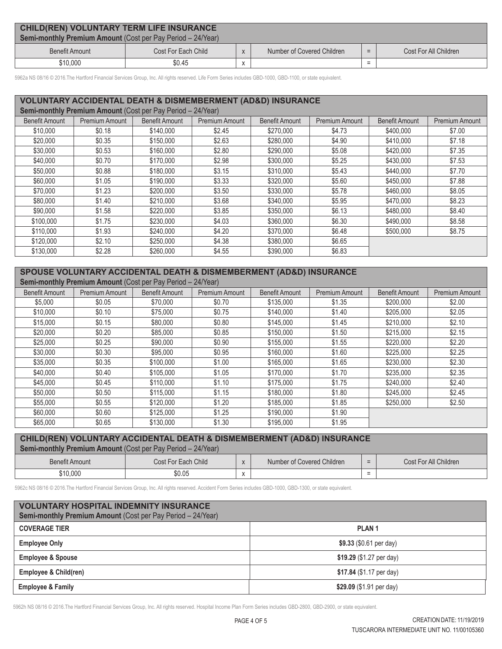| <b>CHILD(REN) VOLUNTARY TERM LIFE INSURANCE</b><br><b>Semi-monthly Premium Amount (Cost per Pay Period – 24/Year)</b> |                     |  |                            |     |                       |  |  |  |  |
|-----------------------------------------------------------------------------------------------------------------------|---------------------|--|----------------------------|-----|-----------------------|--|--|--|--|
| Benefit Amount                                                                                                        | Cost For Each Child |  | Number of Covered Children | $=$ | Cost For All Children |  |  |  |  |
| \$10,000                                                                                                              | \$0.45              |  |                            |     |                       |  |  |  |  |

5962a NS 08/16 © 2016.The Hartford Financial Services Group, Inc. All rights reserved. Life Form Series includes GBD-1000, GBD-1100, or state equivalent.

### **VOLUNTARY ACCIDENTAL DEATH & DISMEMBERMENT (AD&D) INSURANCE**

| Semi-monthly Premium Amount (Cost per Pay Period - 24/Year) |                |                       |                       |                       |                       |                       |                       |  |
|-------------------------------------------------------------|----------------|-----------------------|-----------------------|-----------------------|-----------------------|-----------------------|-----------------------|--|
| <b>Benefit Amount</b>                                       | Premium Amount | <b>Benefit Amount</b> | <b>Premium Amount</b> | <b>Benefit Amount</b> | <b>Premium Amount</b> | <b>Benefit Amount</b> | <b>Premium Amount</b> |  |
| \$10,000                                                    | \$0.18         | \$140,000             | \$2.45                | \$270,000             | \$4.73                | \$400,000             | \$7.00                |  |
| \$20,000                                                    | \$0.35         | \$150,000             | \$2.63                | \$280,000             | \$4.90                | \$410,000             | \$7.18                |  |
| \$30,000                                                    | \$0.53         | \$160,000             | \$2.80                | \$290,000             | \$5.08                | \$420,000             | \$7.35                |  |
| \$40,000                                                    | \$0.70         | \$170,000             | \$2.98                | \$300,000             | \$5.25                | \$430,000             | \$7.53                |  |
| \$50,000                                                    | \$0.88         | \$180,000             | \$3.15                | \$310,000             | \$5.43                | \$440,000             | \$7.70                |  |
| \$60,000                                                    | \$1.05         | \$190,000             | \$3.33                | \$320,000             | \$5.60                | \$450,000             | \$7.88                |  |
| \$70,000                                                    | \$1.23         | \$200,000             | \$3.50                | \$330,000             | \$5.78                | \$460,000             | \$8.05                |  |
| \$80,000                                                    | \$1.40         | \$210,000             | \$3.68                | \$340,000             | \$5.95                | \$470,000             | \$8.23                |  |
| \$90,000                                                    | \$1.58         | \$220,000             | \$3.85                | \$350,000             | \$6.13                | \$480,000             | \$8.40                |  |
| \$100,000                                                   | \$1.75         | \$230,000             | \$4.03                | \$360,000             | \$6.30                | \$490,000             | \$8.58                |  |
| \$110,000                                                   | \$1.93         | \$240,000             | \$4.20                | \$370,000             | \$6.48                | \$500,000             | \$8.75                |  |
| \$120,000                                                   | \$2.10         | \$250,000             | \$4.38                | \$380,000             | \$6.65                |                       |                       |  |
| \$130,000                                                   | \$2.28         | \$260,000             | \$4.55                | \$390,000             | \$6.83                |                       |                       |  |

### **SPOUSE VOLUNTARY ACCIDENTAL DEATH & DISMEMBERMENT (AD&D) INSURANCE**

| <b>Semi-monthly Premium Amount (Cost per Pay Period – 24/Year)</b> |                |                       |                |                       |                       |                       |                |  |
|--------------------------------------------------------------------|----------------|-----------------------|----------------|-----------------------|-----------------------|-----------------------|----------------|--|
| <b>Benefit Amount</b>                                              | Premium Amount | <b>Benefit Amount</b> | Premium Amount | <b>Benefit Amount</b> | <b>Premium Amount</b> | <b>Benefit Amount</b> | Premium Amount |  |
| \$5,000                                                            | \$0.05         | \$70,000              | \$0.70         | \$135,000             | \$1.35                | \$200,000             | \$2.00         |  |
| \$10,000                                                           | \$0.10         | \$75,000              | \$0.75         | \$140,000             | \$1.40                | \$205,000             | \$2.05         |  |
| \$15,000                                                           | \$0.15         | \$80,000              | \$0.80         | \$145,000             | \$1.45                | \$210,000             | \$2.10         |  |
| \$20,000                                                           | \$0.20         | \$85,000              | \$0.85         | \$150,000             | \$1.50                | \$215,000             | \$2.15         |  |
| \$25,000                                                           | \$0.25         | \$90,000              | \$0.90         | \$155,000             | \$1.55                | \$220,000             | \$2.20         |  |
| \$30,000                                                           | \$0.30         | \$95,000              | \$0.95         | \$160,000             | \$1.60                | \$225,000             | \$2.25         |  |
| \$35,000                                                           | \$0.35         | \$100,000             | \$1.00         | \$165,000             | \$1.65                | \$230,000             | \$2.30         |  |
| \$40,000                                                           | \$0.40         | \$105,000             | \$1.05         | \$170,000             | \$1.70                | \$235,000             | \$2.35         |  |
| \$45,000                                                           | \$0.45         | \$110,000             | \$1.10         | \$175,000             | \$1.75                | \$240,000             | \$2.40         |  |
| \$50,000                                                           | \$0.50         | \$115,000             | \$1.15         | \$180,000             | \$1.80                | \$245.000             | \$2.45         |  |
| \$55,000                                                           | \$0.55         | \$120,000             | \$1.20         | \$185,000             | \$1.85                | \$250,000             | \$2.50         |  |
| \$60,000                                                           | \$0.60         | \$125,000             | \$1.25         | \$190,000             | \$1.90                |                       |                |  |
| \$65,000                                                           | \$0.65         | \$130,000             | \$1.30         | \$195,000             | \$1.95                |                       |                |  |

# **CHILD(REN) VOLUNTARY ACCIDENTAL DEATH & DISMEMBERMENT (AD&D) INSURANCE**

| <b>Semi-monthly Premium Amount</b> (Cost per Pay Period – 24/Year) |                     |                                    |                            |        |                       |  |  |  |  |
|--------------------------------------------------------------------|---------------------|------------------------------------|----------------------------|--------|-----------------------|--|--|--|--|
| <b>Benefit Amount</b>                                              | Cost For Each Child |                                    | Number of Covered Children | $=$    | Cost For All Children |  |  |  |  |
| \$10,000                                                           | \$0.05              | $\ddot{\phantom{0}}$<br>$\sqrt{ }$ |                            | -<br>- |                       |  |  |  |  |

5962c NS 08/16 © 2016.The Hartford Financial Services Group, Inc. All rights reserved. Accident Form Series includes GBD-1000, GBD-1300, or state equivalent.

| <b>VOLUNTARY HOSPITAL INDEMNITY INSURANCE</b><br>Semi-monthly Premium Amount (Cost per Pay Period - 24/Year) |                            |  |  |  |  |  |
|--------------------------------------------------------------------------------------------------------------|----------------------------|--|--|--|--|--|
| <b>COVERAGE TIER</b>                                                                                         | PLAN <sub>1</sub>          |  |  |  |  |  |
| <b>Employee Only</b>                                                                                         | $$9.33$ (\$0.61 per day)   |  |  |  |  |  |
| <b>Employee &amp; Spouse</b>                                                                                 | \$19.29 $(\$1.27$ per day) |  |  |  |  |  |
| Employee & Child(ren)                                                                                        | \$17.84 (\$1.17 per day)   |  |  |  |  |  |
| <b>Employee &amp; Family</b>                                                                                 | \$29.09 (\$1.91 per day)   |  |  |  |  |  |

5962h NS 08/16 © 2016.The Hartford Financial Services Group, Inc. All rights reserved. Hospital Income Plan Form Series includes GBD-2800, GBD-2900, or state equivalent.